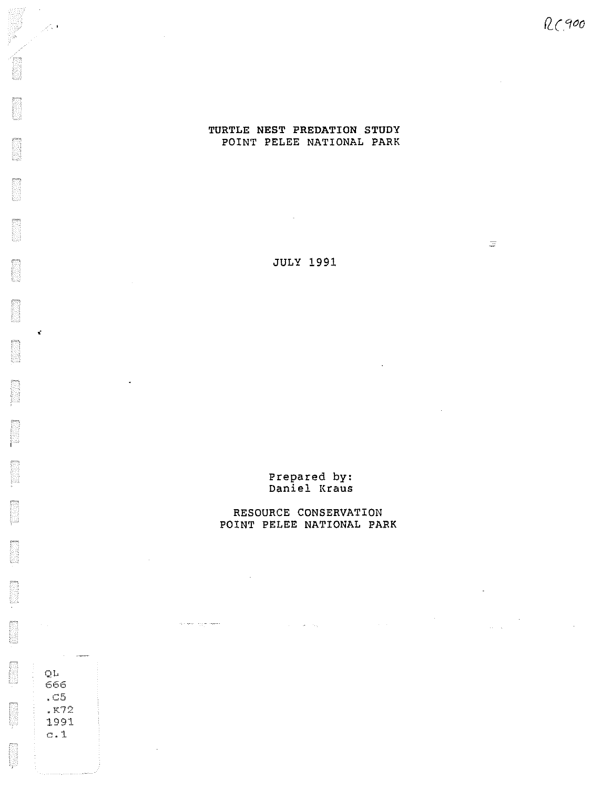$\frac{1}{\sqrt{2}}$ 

 $\label{eq:2} \frac{1}{\sqrt{2}}\left(\frac{1}{\sqrt{2}}\right)^2\left(\frac{1}{\sqrt{2}}\right)^2\left(\frac{1}{\sqrt{2}}\right)^2.$ 

 $\sim 10^{11}$ 

## TURTLE NEST PREDATION STUDY POINT PELEE NATIONAL PARK

JULY 1991

Prepared by: Daniel Kraus

## RESOURCE CONSERVATION POINT PELEE NATIONAL PARK

 $\label{eq:2.1} \mathcal{L}(\mathcal{A}) = \mathcal{L}(\mathbf{M}) = \mathcal{L}(\mathbf{Q}) = \mathcal{L}(\mathcal{A}) = \mathcal{L}(\mathcal{A})$ 

 $\phi$  , we use  $\phi$ 

QL 666 .c5 • K72 1991 c.1

 $\mathbb{R}^4$ 

B

B

B

E

**BOOK** 

B

k.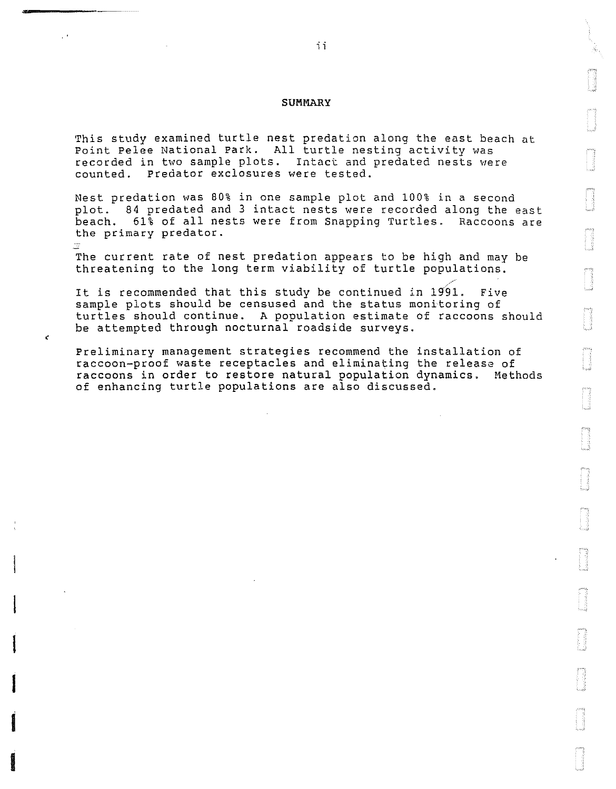#### SUMMARY

This study examined turtle nest predation along the east beach at Point Pelee National Park. All turtle nesting activity was recorded in two sample plots. Intact and predated nests were counted. Predator exclosures were tested.

Nest predation was 80% in one sample plot and 100% in a second plot. 84 predated and 3 intact nests were recorded along the east beach. 61% of all nests were from Snapping Turtles. Raccoons are the primary predator.

The current rate of nest predation appears to be high and may be threatening to the long term viability of turtle populations.

/' It is recommended that this study be continued in 1991. Five It is recommended that this study be continued in 1991. Five<br>sample plots should be censused and the status monitoring of turtles should continue. A population estimate of raccoons should be attempted through nocturnal roadside surveys.

Preliminary management strategies recommend the installation of raccoon-proof waste receptacles and eliminating the release of raccoons in order to restore natural population dynamics. Methods of enhancing turtle populations are also discussed.

a<br>Indonesia<br>Indonesia

**distances.** 

**Environments** 

**International Contract of Seconds**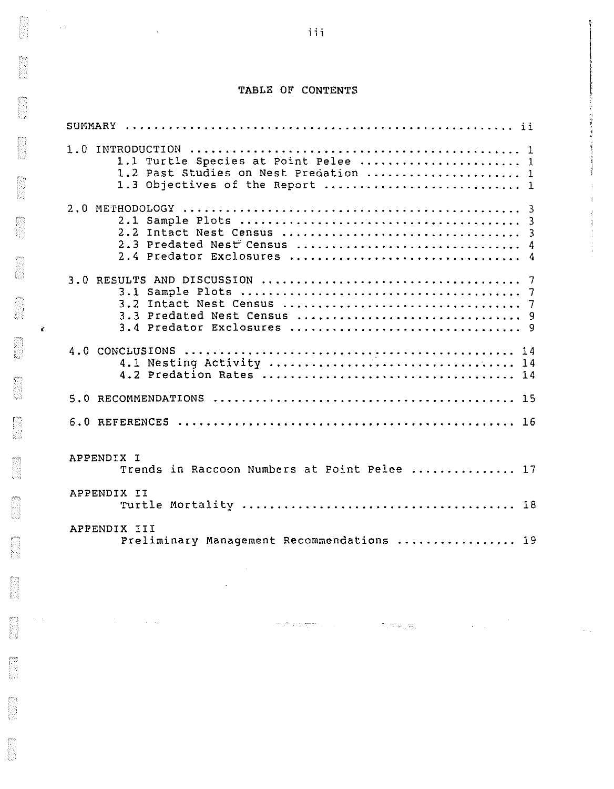# TABLE OF CONTENTS

 $\sim 10^{12}$ 

and the contract of the

|                                                            | 1.1 Turtle Species at Point Pelee  1<br>1.2 Past Studies on Nest Predation  1<br>1.3 Objectives of the Report  1 |  |  |  |  |  |
|------------------------------------------------------------|------------------------------------------------------------------------------------------------------------------|--|--|--|--|--|
|                                                            | 2.3 Predated Nest Census  4<br>2.4 Predator Exclosures  4                                                        |  |  |  |  |  |
|                                                            |                                                                                                                  |  |  |  |  |  |
|                                                            | 14                                                                                                               |  |  |  |  |  |
|                                                            |                                                                                                                  |  |  |  |  |  |
|                                                            |                                                                                                                  |  |  |  |  |  |
| APPENDIX I<br>Trends in Raccoon Numbers at Point Pelee  17 |                                                                                                                  |  |  |  |  |  |
|                                                            | APPENDIX II                                                                                                      |  |  |  |  |  |
|                                                            | APPENDIX III<br>Preliminary Management Recommendations  19                                                       |  |  |  |  |  |

 $\label{eq:1.1} \begin{array}{ccccc} \delta_{\text{max}} & \text{min} & \lambda_{\text{max}}^{\text{max}} & \lambda_{\text{max}}^{\text{max}} \\ \text{where} & \lambda_{\text{max}}^{\text{max}} & \lambda_{\text{max}}^{\text{max}} & \lambda_{\text{max}}^{\text{max}} \end{array}$ 

 $\hat{\mathcal{L}}_{\text{max}}$  ,  $\hat{\mathcal{L}}_{\text{max}}$ 

 $\mathbb{Z}^2$ 

 $\hat{\mathcal{L}}_{\text{max}}$  ,  $\hat{\mathcal{L}}_{\text{max}}$ 

 $\mathbf{1}$ ا<br>المناطق المراجع [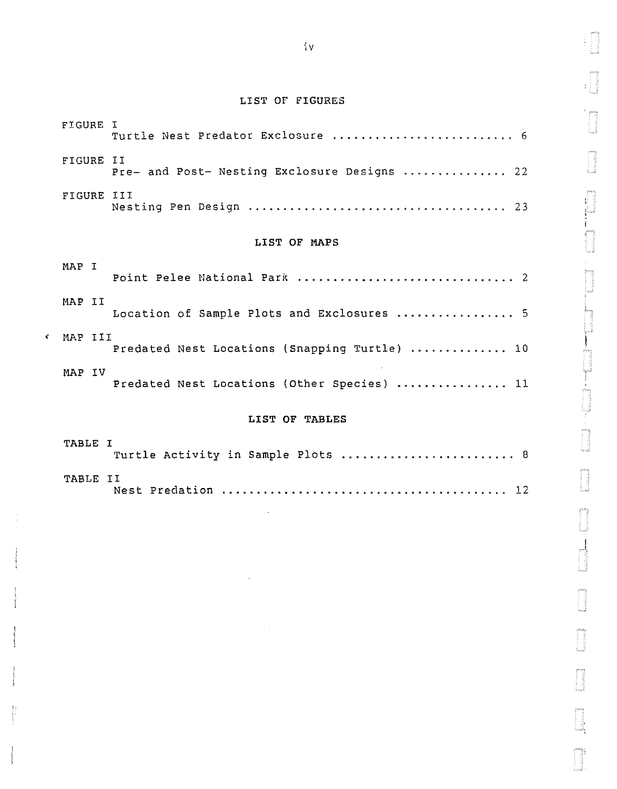# LIST OF FIGURES

|                         | FIGURE I     | Turtle Nest Predator Exclosure  6             |  |  |  |  |  |  |  |  |  |
|-------------------------|--------------|-----------------------------------------------|--|--|--|--|--|--|--|--|--|
| FIGURE II<br>FIGURE III |              | Pre- and Post- Nesting Exclosure Designs  22  |  |  |  |  |  |  |  |  |  |
|                         |              |                                               |  |  |  |  |  |  |  |  |  |
|                         | LIST OF MAPS |                                               |  |  |  |  |  |  |  |  |  |
|                         | MAP I        |                                               |  |  |  |  |  |  |  |  |  |
|                         | MAP II       | Location of Sample Plots and Exclosures  5    |  |  |  |  |  |  |  |  |  |
| ť                       | MAP III      | Predated Nest Locations (Snapping Turtle)  10 |  |  |  |  |  |  |  |  |  |
|                         | MAP IV       | Predated Nest Locations (Other Species)  11   |  |  |  |  |  |  |  |  |  |
|                         |              | LIST OF TABLES                                |  |  |  |  |  |  |  |  |  |

| TABLE I         | Turtle Activity in Sample Plots  8 |  |  |  |  |  |  |
|-----------------|------------------------------------|--|--|--|--|--|--|
| <b>TABLE II</b> |                                    |  |  |  |  |  |  |

I

T.

J

ffi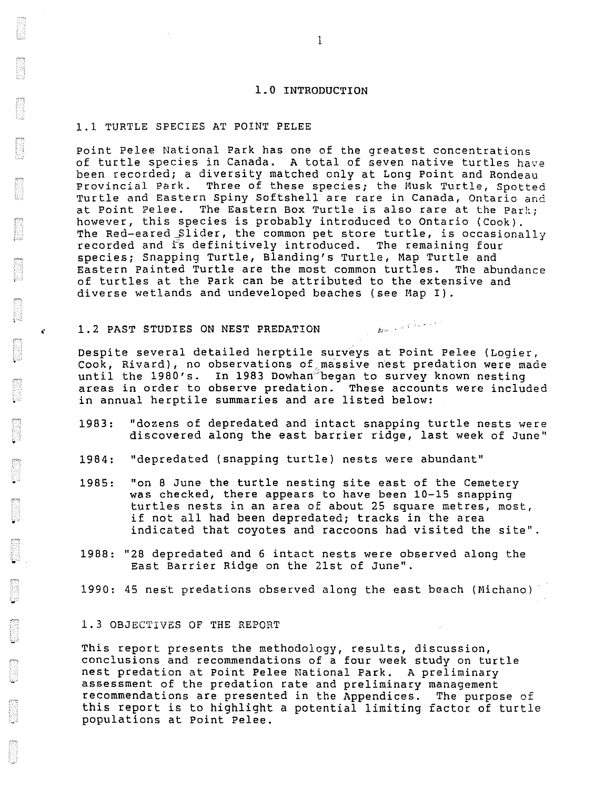#### 1.0 INTRODUCTION

#### 1.1 TURTLE SPECIES AT POINT PELEE

Point Pelee National Park has one of the greatest concentrations of turtle species in Canada. A total of seven native turtles have been recorded; a diversity matched only at Long Point and Rondeau Provincial Park. Three of these species; the Musk Turtle, Spotted Turtle and Eastern Spiny Softshell are rare in Canada, Ontario and at Point Pelee. The Eastern Box Turtle is also rare at the Park; however, this species is probably introduced to Ontario (Cook). The Red-eared Slider, the common pet store turtle, is occasionally recorded and is definitively introduced. The remaining four species; snapping Turtle, Blanding's Turtle, Map Turtle and Eastern Painted Turtle are the most common turtles. The abundance of turtles at the Park can be attributed to the extensive and diverse wetlands and undeveloped beaches (see Map I).

#### 1.2 PAST STUDIES ON NEST PREDATION

Despite several detailed herptile surveys at Point Pelee (Logier, Cook, Rivard), no observations of massive nest predation were made until the 1980's. In 1983 Dowhan began to survey known nesting areas in order to observe predation. These accounts were included in annual herptile summaries and are listed below:

 $N^{D}$  +  $\frac{1}{2}$  +  $\frac{1}{2}$  +  $\frac{1}{2}$  +  $\frac{1}{2}$  +  $\frac{1}{2}$ 

- 1983: "dozens of depredated and intact snapping turtle nests were discovered along the east barrier ridge, last week of June"
- 1984: "depredated (snapping turtle) nests were abundant"
- 1985: "on 8 June the turtle nesting site east of the Cemetery was checked, there appears to have been 10-15 snapping turtles nests in an area of about 25 square metres, most, if not all had been depredated; tracks in the area indicated that coyotes and raccoons had visited the site".
- 1988: "28 depredated and 6 intact nests were observed along the East Barrier Ridge on the 21st of June".
- 1990: 45 nest predations observed along the east beach (Michano)

## 1.3 OBJECTIVES OF THE REPORT

.

¥

•

This report presents the methodology, results, discussion, conclusions and recommendations of a four week study on turtle nest predation at Point Pelee National Park. A preliminary assessment of the predation rate and preliminary management recommendations are presented in the Appendices. The purpose of this report is to highlight a potential limiting factor of turtle populations at Point Pelee.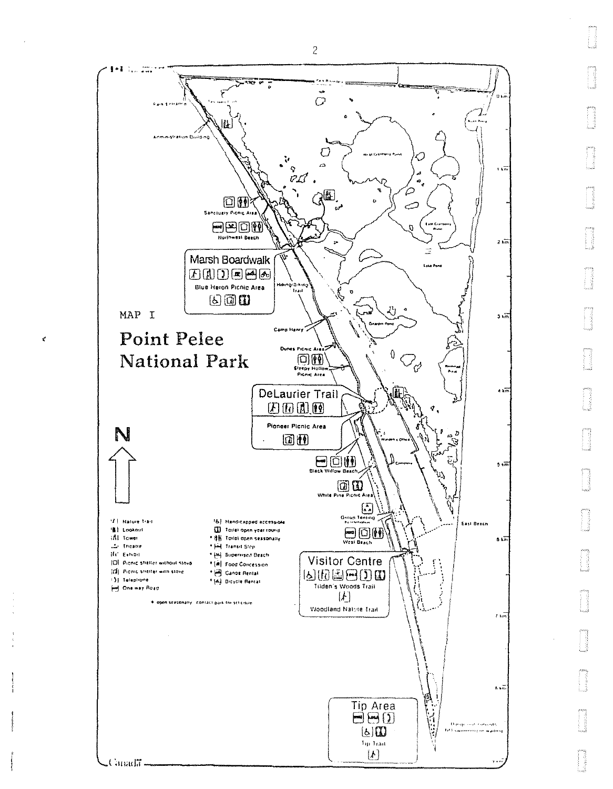

 $\vec{\tau}$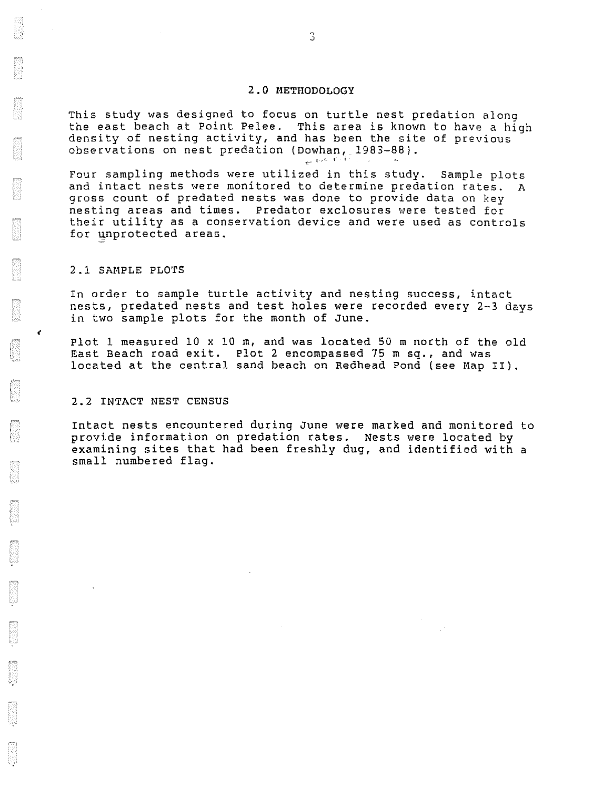### 2.0 METHODOLOGY

This study was designed to focus on turtle nest predation along the east beach at Point Pelee. This area is known to have a high density of nesting activity, and has been the site of previous observations on nest predation (Dowhan, 1983-88).

Four sampling methods were utilized in this study. Sample plots and intact nests were monitored to determine predation rates. A gross count of predated nests was done to provide data on key nesting areas and times. Predator exclosures were tested for their utility as a conservation device and were used as controls for unprotected areas.

## 2.1 SAMPLE PLOTS

 $\mathbf{r}$ 

In order to sample turtle activity and nesting success, intact nests, predated nests and test holes were recorded every 2-3 days in two sample plots for the month of June.

Plot 1 measured 10 x 10 m, and was located 50 m north of the old East Beach road exit. Plot 2 encompassed 75 m sq., and was located at the central sand beach on Redhead Pond (see Map II).

#### 2.2 INTACT NEST CENSUS

Intact nests encountered during June were marked and monitored to provide information on predation rates. Nests were located by examining sites that had been freshly dug, and identified with a small numbered flag.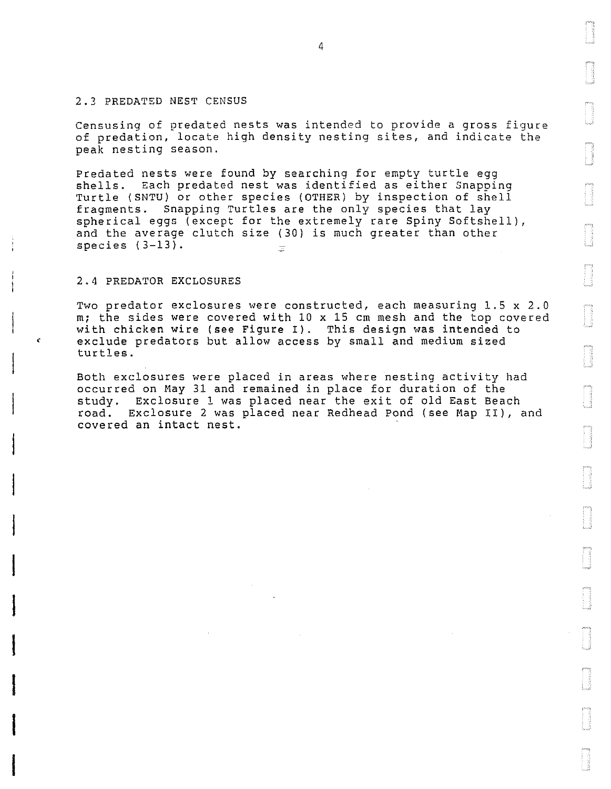#### 2.3 PREDATED NEST CENSUS

Censusing of predated nests was intended to provide a gross figure of predation, locate high density nesting sites, and indicate the peak nesting season.

Predated nests were found by searching for empty turtle egg shells. Each predated nest was identified as either Snapping Turtle (SNTU) or other species (OTHER) by inspection of shell fragments. Snapping Turtles are the only species that lay spherical eggs (except for the extremely rare Spiny Softshell), and the average clutch size (30) is much greater than other species (3-13).  $\equiv$ 

#### 2.4 PREDATOR EXCLOSURES

ten<br>Indonesia<br>Indonesia

**Incomediate**<br>International<br>International

**Inchessivent**<br>Incomediate

**IDANAISE SANAR**<br>ISBN 975

a<br>Indonesia

Two predator exclosures were constructed, each measuring 1.5 x 2.0 m; the sides were covered with 10 x 15 cm mesh and the top covered with chicken wire (see Figure I). This design was intended to exclude predators but allow access by small and medium sized turtles.

Both exclosures were placed in areas where nesting activity had occurred on May 31 and remained in place for duration of the study. Exclosure l was placed near the exit of old East Beach road. Exclosure 2 was placed near Redhead Pond (see Map II), and covered an intact nest.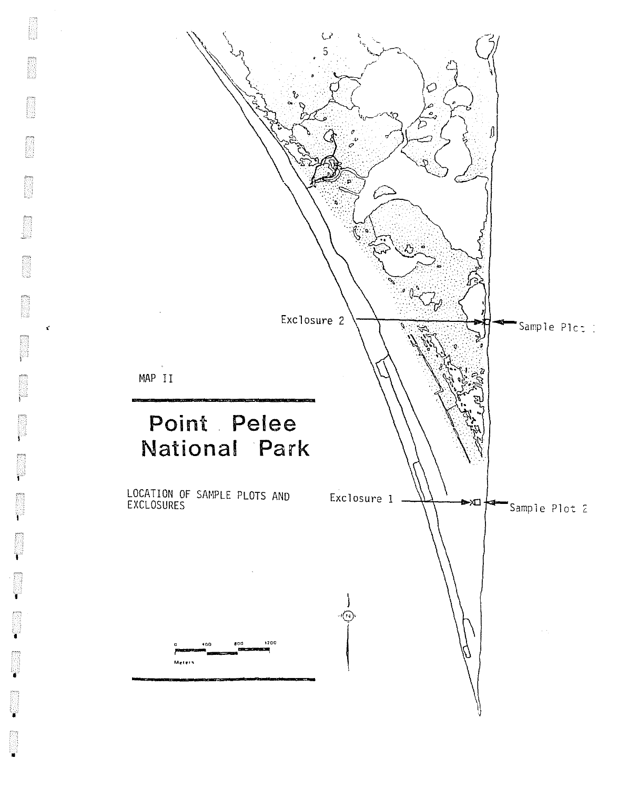

 $\vec{\boldsymbol{\kappa}}$ 

Ÿ

Y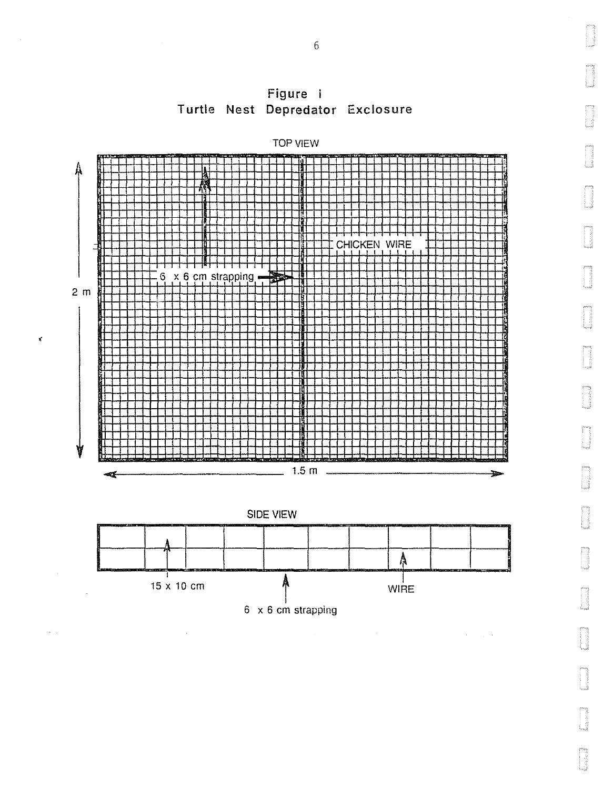

at a

Figure i Turtle Nest Depredator Exclosure

6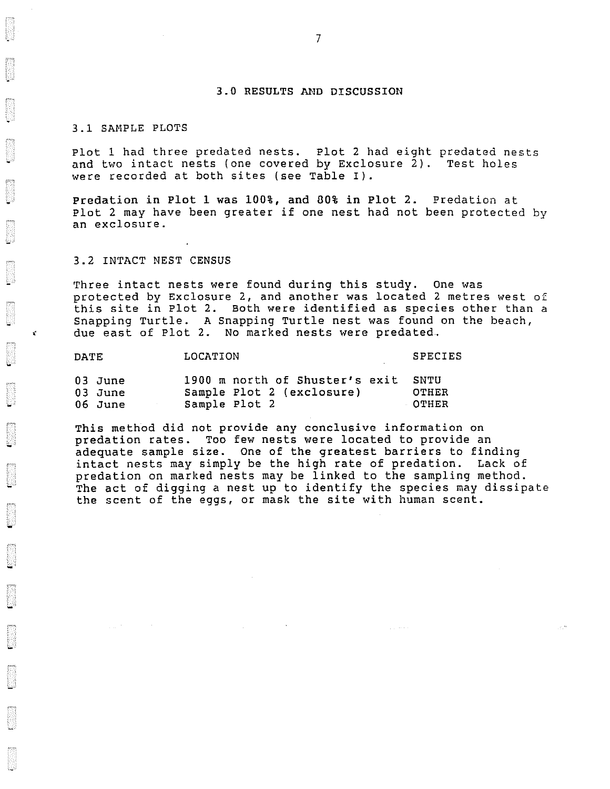#### 3.0 RESULTS AND DISCUSSION

#### 3.1 SAMPLE PLOTS

'•

Plot 1 had three predated nests. Plot 2 had eight predated nests<br>and two intact nests (one covered by Exclosure 2). Test holes and two intact nests (one covered by Exclosure  $2)$ . were recorded at both sites (see Table I).

Predation in Plot 1 was 100%, and BO% in Plot 2. Predation at Plot 2 may have been greater if one nest had not been protected by an exclosure.

#### 3.2 INTACT NEST CENSUS

Three intact nests were found during this study. One was protected by Exclosure 2, and another was located 2 metres west of this site in Plot 2. Both were identified as species other than a Snapping Turtle. A Snapping Turtle nest was found on the beach, due east of Plot 2. No marked nests were predated.

| <b>DATE</b> | LOCATION                       | <b>SPECIES</b> |  |  |
|-------------|--------------------------------|----------------|--|--|
| 03 June     | 1900 m north of Shuster's exit | SNTU           |  |  |
| 03 June     | Sample Plot 2 (exclosure)      | OTHER          |  |  |
| 06 June     | Sample Plot 2                  | <b>OTHER</b>   |  |  |

This method did not provide any conclusive information on predation rates. Too few nests were located to provide an adequate sample size. One of the greatest barriers to finding intact nests may simply be the high rate of predation. Lack of predation on marked nests may be linked to the sampling method. The act of digging a nest up to identify the species may dissipate the scent of the eggs, or mask the site with human scent.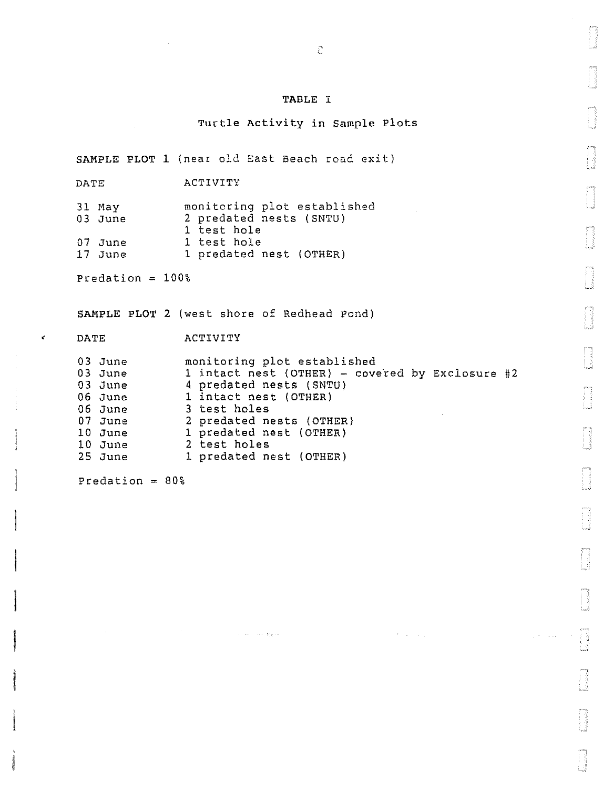## TABLE I

Turtle Activity in Sample Plots

SAMPLE PLOT 1 (near old East Beach road exit)

DATE ACTIVITY

31 May monitoring plot established 03 June 2 predated nests (SNTU) <sup>1</sup>test hole 07 June 1 test hole<br>17 June 1 predated 1 predated nest (OTHER)

Predation = 100%

 $\epsilon^{\prime}$ 

SAMPLE PLOT 2 (west shore of Redhead Pond)

## DATE ACTIVITY

| 03 June<br>03 June | monitoring plot established<br>1 intact nest (OTHER) - covered by Exclosure #2 |
|--------------------|--------------------------------------------------------------------------------|
| $03$ June          | 4 predated nests (SNTU)                                                        |
| 06 June            | 1 intact nest (OTHER)                                                          |
| 06 June            | 3 test holes                                                                   |
| 07 June            | 2 predated nests (OTHER)                                                       |
| 10 June            | 1 predated nest (OTHER)                                                        |
| 10 June            | 2 test holes                                                                   |
| $25$ June          | 1 predated nest (OTHER)                                                        |

 $\beta \rightarrow \infty$  . The set  $\mathcal{B}_{12}^{\alpha}(\gamma\pi)$ 

 $\mathcal{F}^{\text{c}}$  , and  $\mathcal{F}^{\text{c}}$ 

 $\sqrt{\beta}$  , where

Predation  $= 80%$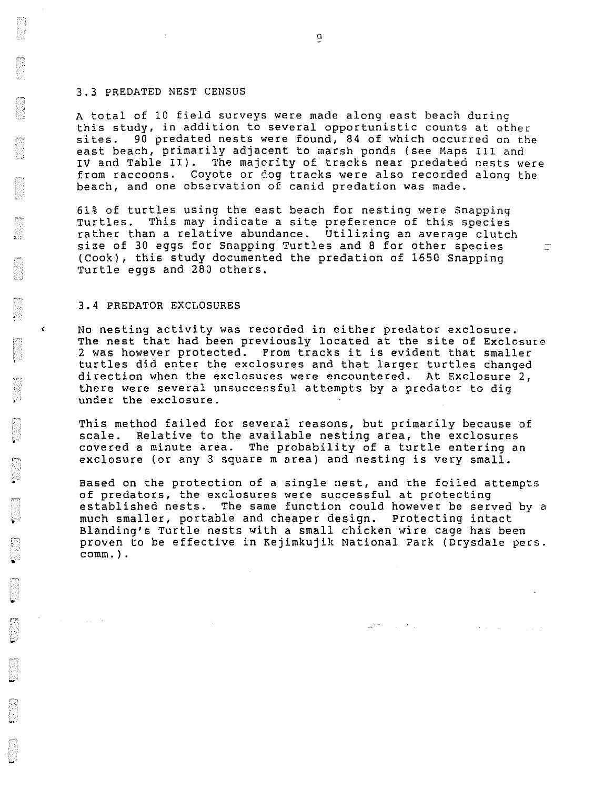#### 3.3 PREDATED NEST CENSUS

A total of 10 field surveys were made along east beach during this study, in addition to several opportunistic counts at other sites. 90 predated nests were found, 84 of which occurred on the east beach, primarily adjacent to marsh ponds (see Maps III and IV and Table II). The majority of tracks near predated nests were from raccoons. Coyote or dog tracks were also recorded along the beach, and one observation of canid predation was made.

61% of turtles using the east beach for nesting were Snapping Turtles. This may indicate a site preference of this species rather than a relative abundance. Utilizing an average clutch size of 30 eggs for Snapping Turtles and 8 for other species (Cook), this study documented the predation of 1650 Snapping Turtle eggs and 280 others.

#### 3.4 PREDATOR EXCLOSURES

•

K.

•

•

•

No nesting activity was recorded in either predator exclosure. The nest that had been previously located at the site of Exclosure 2 was however protected. From tracks it is evident that smaller turtles did enter the exclosures and that larger turtles changed direction when the exclosures were encountered. At Exclosure 2, there were several unsuccessful attempts by a predator to dig under the exclosure.

This method failed for several reasons, but primarily because of scale. Relative to the available nesting area, the exclosures covered a minute area. The probability of a turtle entering an exclosure (or any 3 square m area) and nesting is very small.

Based on the protection of a single nest, and the foiled attempts of predators, the exclosures were successful at protecting established nests. The same function could however be served by a much smaller, portable and cheaper design. Protecting intact Blanding's Turtle nests with a small chicken wire cage has been proven to be effective in Kejimkujik National Park (Drysdale pers. comm.) .

 $\tilde{\phantom{a}}$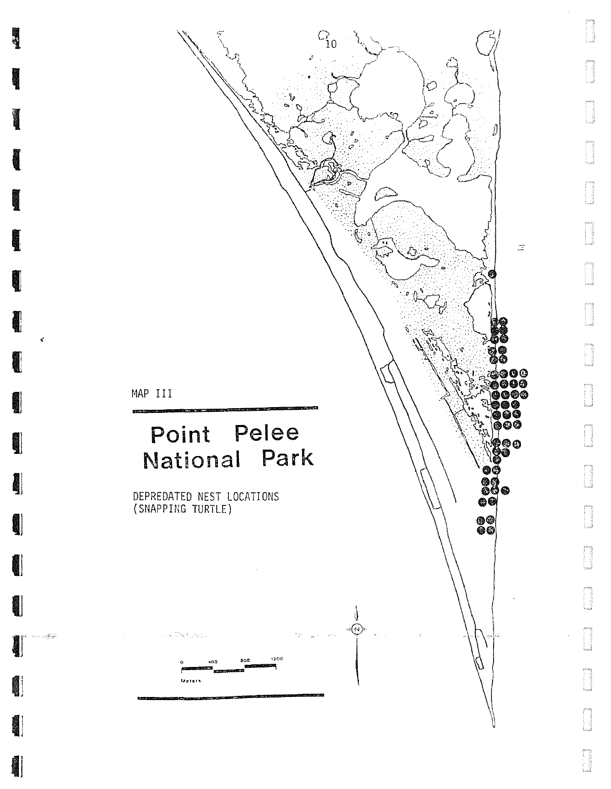

 $\epsilon$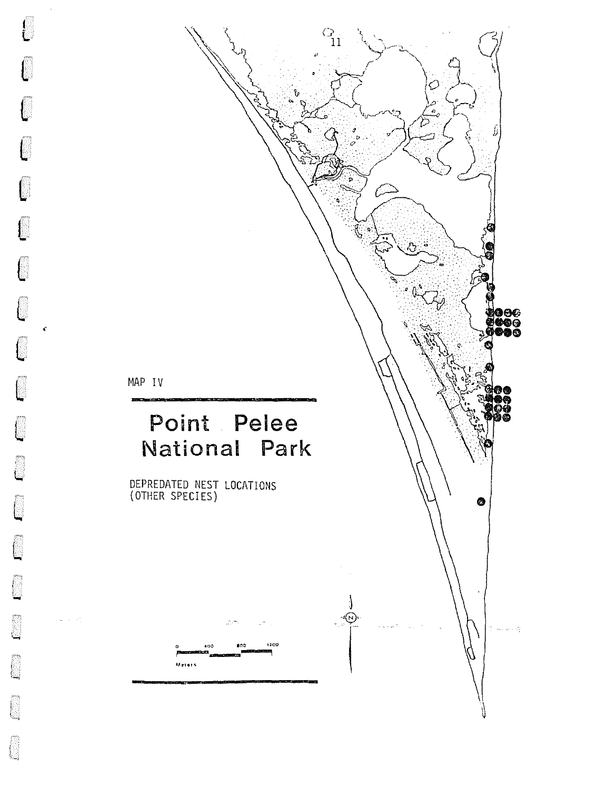

 $\int_{1}$ 

Ĺ

 $\int$ 

<u>f</u>

 $\lceil$ 

C.,

 $\mathcal{C}$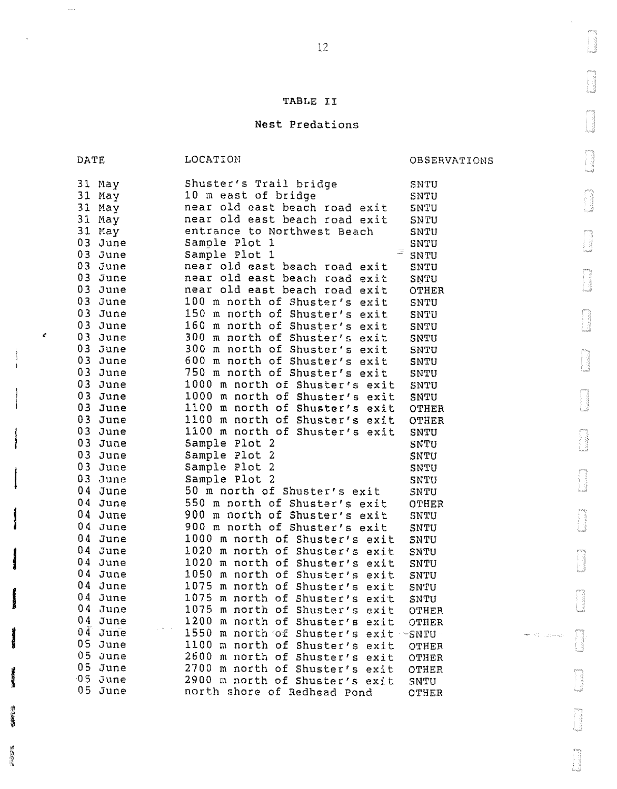## TABLE II

# Nest Predations

|    | DATE                                         | LOCATION                                                                                                                         | OBSERVATIONS                                                                                                                                                        |  |
|----|----------------------------------------------|----------------------------------------------------------------------------------------------------------------------------------|---------------------------------------------------------------------------------------------------------------------------------------------------------------------|--|
|    | 31 May<br>31 May<br>31 May<br>31 May         | Shuster's Trail bridge<br>10 m east of bridge<br>near old east beach road exit<br>near old east beach road exit                  | SNTU<br>SNTU<br>SNTU<br>SNTU                                                                                                                                        |  |
|    | 31 May<br>03 June<br>03 June                 | entrance to Northwest Beach<br>Sample Plot 1<br>$\frac{1}{\sqrt{2}}$<br>Sample Plot 1                                            | SNTU<br>SNTU<br>SNTU                                                                                                                                                |  |
|    | 03 June<br>03 June<br>03 June                | near old east beach road exit<br>near old east beach road exit<br>near old east beach road exit                                  | SNTU<br>SNTU<br>OTHER                                                                                                                                               |  |
|    | 03 June<br>03 June<br>03 June                | 100 m north of Shuster's exit<br>150 m north of Shuster's exit<br>160 m north of Shuster's exit                                  | SNTU<br>SNTU<br>SNTU                                                                                                                                                |  |
| ¢, | 03 June<br>03 June<br>03 June<br>03 June     | 300 m north of Shuster's exit<br>300 m north of Shuster's exit<br>600 m north of Shuster's exit<br>750 m north of Shuster's exit | <b>SNTU</b><br>SNTU<br>SNTU                                                                                                                                         |  |
|    | 03 June<br>03 June<br>03 June                | 1000 m north of Shuster's exit<br>1000 m north of Shuster's exit<br>1100 m north of Shuster's exit                               | SNTU<br>SNTU<br>SNTU<br>OTHER                                                                                                                                       |  |
|    | 03 June<br>03 June<br>03 June                | 1100 m north of Shuster's exit<br>1100 m north of Shuster's exit<br>Sample Plot 2                                                | OTHER<br>SNTU<br>SNTU                                                                                                                                               |  |
| ļ  | 03 June<br>03 June<br>03 June                | Sample Plot 2<br>Sample Plot 2<br>Sample Plot 2                                                                                  | SNTU<br>SNTU<br>SNTU                                                                                                                                                |  |
|    | 04 June<br>04 June<br>04 June                | 50 m north of Shuster's exit<br>550 m north of Shuster's exit<br>900 m north of Shuster's exit                                   | <b>SNTU</b><br>OTHER<br>SNTU                                                                                                                                        |  |
|    | 04 June<br>04 June<br>04 June                | 900 m north of Shuster's exit<br>1000 m north of Shuster's exit<br>1020 m north of Shuster's exit                                | SNTU<br>SNTU<br>SNTU                                                                                                                                                |  |
|    | 04 June<br>04 June<br>04 June                | 1020 m north of Shuster's exit<br>1050 m north of Shuster's exit<br>1075 m north of Shuster's exit                               | SNTU<br>SNTU<br>SNTU                                                                                                                                                |  |
|    | 04 June<br>04 June<br>04 June                | 1075 m north of Shuster's exit<br>1075 m north of Shuster's exit<br>1200 m north of Shuster's exit                               | SNTU<br>OTHER<br>OTHER                                                                                                                                              |  |
|    | $04$ June<br>05 June<br>$05$ June<br>05 June | 1550 m north of Shuster's exit-<br>1100 m north of Shuster's exit<br>2600 m north of Shuster's exit                              | $\neg$ SNTU $\neg$<br>$\overline{\mathcal{M}}^{\text{max}} = \sum_{i=1}^n \gamma_{i+1} \gamma_{i+1} \gamma_{i+1} \dots \gamma_{i+2} \gamma_{i+1}$<br>OTHER<br>OTHER |  |
|    | 05 June<br>05 June                           | 2700 m north of Shuster's exit<br>2900 m north of Shuster's exit<br>north shore of Redhead Pond                                  | OTHER<br>SNTU<br>OTHER                                                                                                                                              |  |

**INSIDER** 

 $\omega$  .

H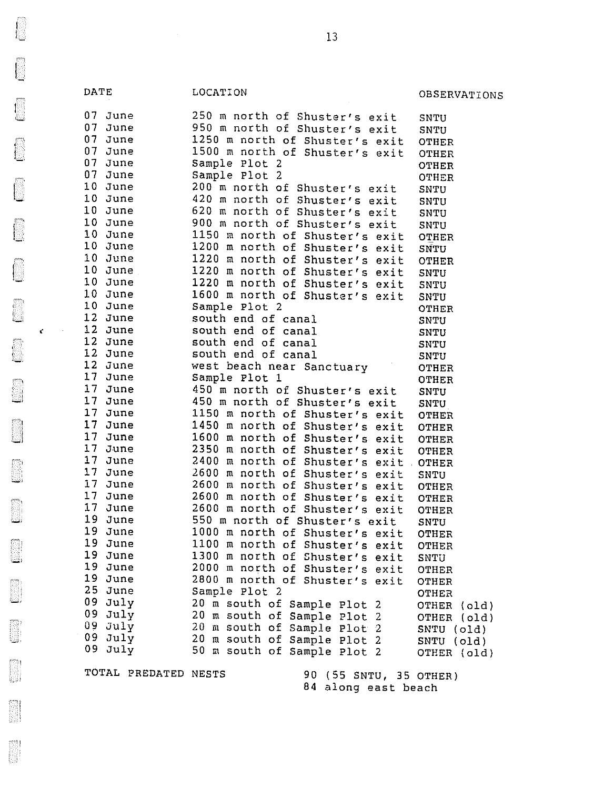DATE LOCATION COSSERVATIONS 07 June 250 m north of Shuster's exit SNTU<br>07 June 950 m north of Shuster's exit SNTU 950 m north of Shuster's exit SNTU 07 June<br>07 June 1250 m north of Shuster's exit OTHER 07 June 1500 m north of Shuster's exit OTHER<br>07 June m Sample Plot 2 CHER 07 June 5ample Plot 2<br>07 June 5ample Plot 2 07 June 5ample Plot 2 0THER<br>10 June 200 m north of Shuster's exit 5NTH 10 June 200 m north of Shuster's exit SNTU<br>10 June 420 m north of Shuster's exit SNTU 10 June 420 m north of Shuster's exit<br>10 June 620 m north of Shuster's exit 10 June 620 m north of Shuster's exit SNTU<br>10 June 900 m north of Shuster's exit SNTU 10 June 900 m north of Shuster's exit SNTU<br>10 June 1150 m north of Shuster's exit OTHER 10 June 1150 m north of Shuster's exit OTHER<br>10 June 1200 m north of Shuster's exit SNTU<br>10 June 1220 m north of Shuster's exit OTHER 10 June 1220 m north of Shuster's exit OTHER<br>10 June 1220 m north of Shuster's exit SNTH 10 June 1220 m north of Shuster's exit SNTU<br>10 June 1220 m north of Shuster's exit SNTU 10 June 1220 m north of Shuster's exit SNTU<br>10 June 1600 m north of Shuster's exit SNTU 10 June 1600 m north of Shuster's exit SNTU<br>10 June 1600 m north of Shuster's exit SNTU 10 June 5ample Plot 2 CHER<br>12 June 50uth end of canal 50 SNTH 12 June 50uth end of canal 5NTU<br>12 June 50uth end of canal 5NTU ' 12 June south end of canal SNTU 12 June south end of canal<br>12 June south end of canal 12 June south end of canal snTU<br>12 June west beach near Sanctuary or OTHE 12 June west beach near Sanctuary OTHER<br>17 June Sample Plot 1 OTHER 17 June 5ample Plot 1 5 CHER<br>17 June 150 m north of Shuster's exit SNTU 17 June 450 m north of Shuster's exit SNTU<br>17 June 450 m north of Shuster's exit SNTU<br>17 June 1150 m north of Shuster's exit OTHER 17 June 1150 m north of Shuster's exit OTHER<br>17 June 1450 m north of Shuster's exit OTHER 17 June 1450 m north of Shuster's exit OTHER<br>17 June 1600 m north of Shuster's exit OTHER 17 June 1600 m north of Shuster's exit OTHER<br>17 June 1350 m north of Shuster's exit OTHER 17 June 2350 m north of Shuster's exit OTHER<br>17 June 2400 m north of Shuster's exit OTHER 17 June 2400 m north of Shuster's exit OTHER<br>17 June 2600 m north of Shuster's exit SNTU 17 June 2600 m north of Shuster's exit SNTU<br>17 June 2600 m north of Shuster's exit OTHER<br>17 June 2600 m north of Shuster's exit OTHER 17 June 2600 m north of Shuster's exit OTHER<br>17 June 2600 m north of Shuster's exit OTHER 17 June 2600 m north of Shuster's exit OTHER<br>19 June 550 m north of Shuster's exit SNTU<br>19 June 1000 m north of Shuster's exit OTHER 19 June 1000 m north of Shuster's exit OTHER<br>19 June 1100 m north of Shuster's exit OTHER 19 June 1100 m north of Shuster's exit OTHER<br>19 June 1300 m north of Shuster's exit SNTH 19 June 1300 m north of Shuster's exit SNTU<br>19 June 2000 m north of Shuster's exit OTHE 19 June 2000 m north of Shuster's exit OTHER<br>19 June 2800 m north of Shuster's exit OTHER 19 June 2800 m north of Shuster's exit OTHER<br>25 June 20 Sample Plot 2 25 June Sample Plot 2 OTHER 09 July 20 m south of Sample Plot 2 OTHER (old)<br>09 July 20 m south of Sample Plot 2 OTHER (old)<br>09 July 20 m south of Sample Plot 2 SNTU (old)<br>09 July 20 m south of Sample Plot 2 SNTU (old) <sup>09</sup> July 20 m south of Sample Plot 2 SNTU (old)<br>09 July 50 m south of Sample Plot 2 OTHER (old)

TOTAL PREDATED NESTS 90 (55 SNTU, 35 OTHER) 84 along east beach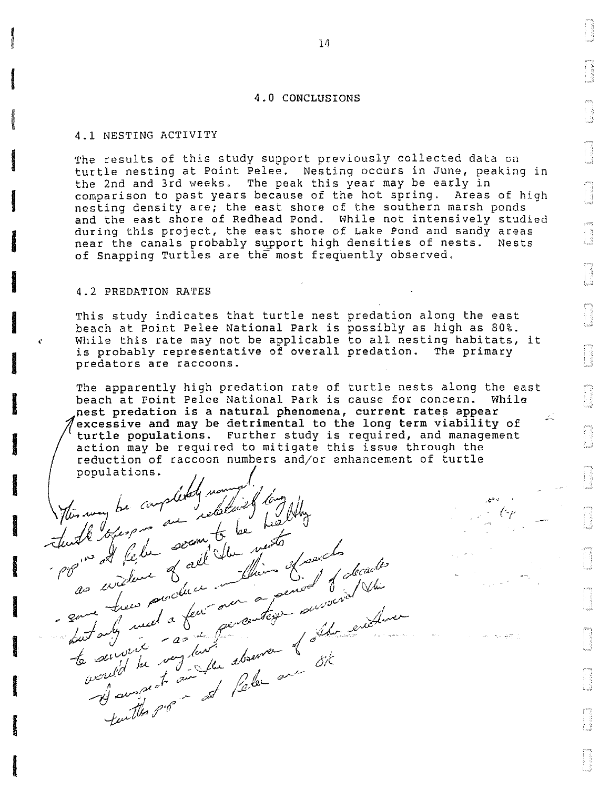#### 4.0 CONCLUSIONS

#### 4.1 NESTING ACTIVITY

**International** 

**INCREASE** 

**ISLANDS** 

the deal all processing and

**Communication** 

**Institution** 

**Inchession**<br>Inchession

**In the contract of the contract of the contract of the contract of the contract of the contract of the contract of the contract of the contract of the contract of the contract of the contract of the contract of the contra** 

**Construction** 

**REMARKS** 

**I** 

**BEST WARREN** 

**Industry** 

**INSTALLER** 

*INDUCTION* 

**International Company** 

**Britannich**<br>Britannich

**INGLES IN** 

The results of this study support previously collected data on turtle nesting at Point Pelee. Nesting occurs in June, peaking in the 2nd and 3rd weeks. The peak this year may be early in comparison to past years because of the hot spring. Areas of high nesting density are; the east shore of the southern marsh ponds and the east shore of Redhead Pond. While not intensively studied during this project, the east shore of Lake Pond and sandy areas near the canals probably support high densities of nests. Nests of Snapping Turtles are the most frequently observed.

#### 4.2 PREDATION RATES

flin way be completely work of long films

re refuge a second du ments franch , les

pp is at felu of all you thin of said of decades

- save trees pour peu aventess survent

to survey he was in the about one 8ik

*\_,,--t:J* aV', ' .- fl I

.<br>Juittes Pr

This study indicates that turtle nest predation along the east beach at Point Pelee National Park is possibly as high as 80%. While this rate may not be applicable to all nesting habitats, it is probably representative of overall predation. The primary predators are raccoons.

The apparently high predation rate of turtle nests along the east beach at Point Pelee National Park is cause for concern. While nest predation is a natural phenomena, current rates appear<br>excessive and may be detrimental to the long term viability of excessive and may be detrimental to the long term viability of excessive and may be decrimentar to the rong term videority of<br>turtle populations. Further study is required, and management action may be required to mitigate this issue through the reduction of raccoon numbers and/or enhancement of turtle popol•Cioo~ *(* '

 $\mathbb{Z}$ 

14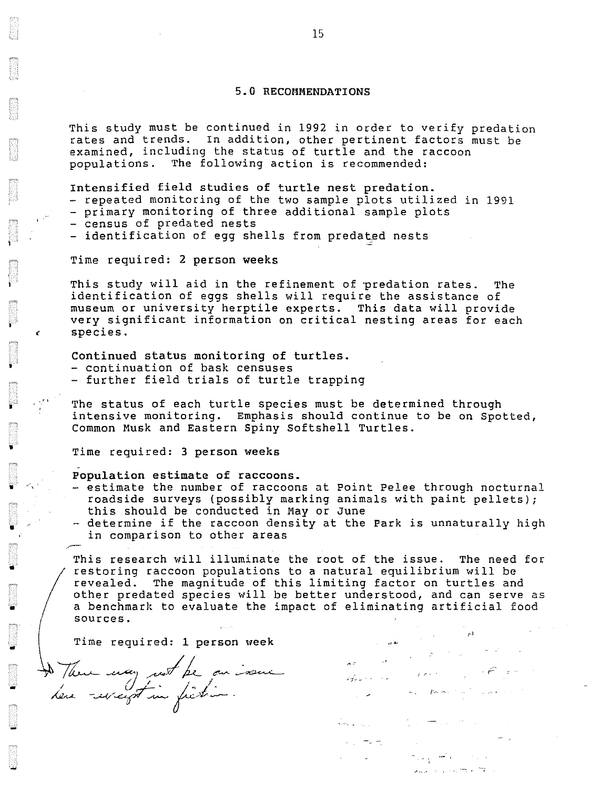## 5.0 RECOMMENDATIONS

This study must be continued in 1992 in order to verify predation rates and trends. In addition, other pertinent factors must be examined, including the status of turtle and the raccoon<br>populations. The following action is recommended: The following action is recommended:

Intensified field studies of turtle nest predation.

- repeated monitoring of the two sample plots utilized in 1991
- primary monitoring of three additional sample plots
- census of predated nests

 $\mathbf{f}$  -

'

I

•

•

.-

•

-.

..

-<br>-<br>-

- identification of egg shells from predated nests

Time required: 2 person weeks

This study will aid in the refinement of predation rates. The identification of eggs shells will require the assistance of museum or university herptile experts. This data will provide very significant information on critical nesting areas for each species.

Continued status monitoring of turtles.

- continuation of bask censuses
- further field trials of turtle trapping

The status of each turtle species must be determined through intensive monitoring. Emphasis should continue to be on Spotted, Common Musk and Eastern Spiny Softshell Turtles .

Time required: 3 person weeks

- Population estimate of raccoons.

- estimate the number of raccoons at Point Pelee through nocturnal roadside surveys (possibly marking animals with paint pellets); this should be conducted in May or June
- determine if the raccoon density at the Park is unnaturally high in comparison to other areas

This research will illuminate the root of the issue. The need for<br>restoring raccoon populations to a natural equilibrium will be restoring raccoon populations to a natural equilibrium will be<br>revealed. The magnitude of this limiting factor on turtles and<br>other predated species will be better understood, and can serve<br>a benchmark to evaluate the impa revealed. The magnitude of this limiting factor on turtles and other predated species will be better understood, and can serve as a benchmark to evaluate the impact of eliminating artificial food

I ::::,::;ui rnd' 1 pmon vook ... '' De Them may not be on issue de la distribución ) fleur may not be on some former de l'une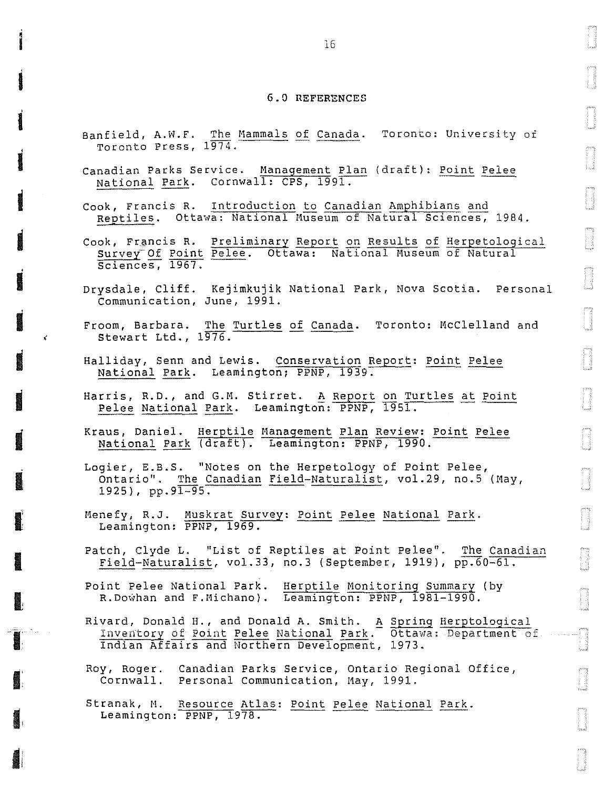#### 6.0 REFERENCES

- Banfield, A.W.F. The Mammals of Canada. Toronto: University of Toronto Press, 1974.
- Canadian Parks Service. Management Plan (draft): Point Pelee National Park. Cornwall: CPS, 1991.
- Cook, Francis R. Introduction to Canadian Amphibians and Reptiles. Ottawa: National Museum of Natural Sciences, 1984.
- Cook, Francis R. Preliminary Report on Results of Herpetological Survey Of Point Pelee. Ottawa: National Museum of Natural Sciences, 1967.
- Drysdale, Cliff. Kejimkujik National Park, Nova Scotia. Personal Communication, June, 1991.
- Froom, Barbara. The Turtles of Canada. Toronto: McClelland and Stewart Ltd., 1976.
- Halliday, Senn and Lewis. Conservation Report: Point Pelee National Park. Leamington; PPNP, 1939.
- Harris, R.D., and G.M. Stirret. A Report on Turtles at Point Pelee National Park. Leamington: PPNP, 1951.
- Kraus, Daniel. Herptile Management Plan Review: Point Pelee National Park (draft). Leamington: PPNP, 1990.
- Logier, E.B.S. "Notes on the Herpetology of Point Pelee, Ontario". The Canadian Field-Naturalist, vol.29, no.5 (May,  $1925$ , pp.91-95.
- Menefy, R.J. Muskrat Survey: Point Pelee National Park. Leamington: PPNP, 1969.
- Patch, Clyde L. "List of Reptiles at Point Pelee". The Canadian Field-Naturalist, vol.33, no.3 (September, 1919), pp.60-61.
- Point Pelee National Park. Herptile Monitoring Summary (by R. Dowhan and F. Michano). Leamington: PPNP, 1981-1990.
- Rivard, Donald H., and Donald A. Smith. A Spring Herptological<br>Inventory of Point Pelee National Park. Ottawa: Department of Indian Affairs and Northern Development, 1973.
- Roy, Roger. Canadian Parks Service, Ontario Regional Office, Cornwall. Personal Communication, May, 1991.
- Stranak, M. Resource Atlas: Point Pelee National Park. Leamington: PPNP, 1978.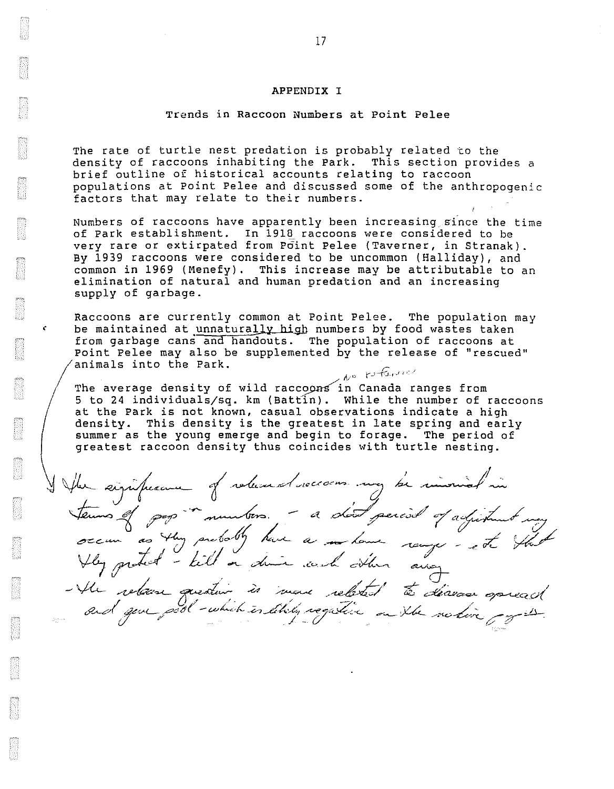#### APPENDIX I

#### Trends in Raccoon Numbers at Point Pelee

The rate of turtle nest predation is probably related to the density of raccoons inhabiting the Park. This section provides a brief outline of historical accounts relating to raccoon populations at Point Pelee and discussed some of the anthropogenic factors that may relate to their numbers.

Numbers of raccoons have apparently been increasing since the time of Park establishment. In 1918 raccoons were considered to be very rare or extirpated from Point Pelee (Taverner, in Stranak). By 1939 raccoons were considered to be uncommon (Halliday), and common in 1969 (Menefy). This increase may be attributable to an elimination of natural and human predation and an increasing supply of garbage.

Raccoons are currently common at Point Pelee. The population may be maintained at unnaturally high numbers by food wastes taken from garbage cans and handouts. The population of raccoons at Point Pelee may also be supplemented by the release of "rescued" animals into the Park.<br>*Are* referred

The average density of wild raccoons in Canada ranges from 5 to 24 individuals/sq. km (Battin). While the number of raccoons at the Park is not known, casual observations indicate a high density. This density is the greatest in late spring and early summer as the young emerge and begin to forage. The period of greatest raccoon density thus coincides with turtle nesting.

/

I flux significante of released necessors and he immediate in terms of some monters. The short period of adjustment any secure is that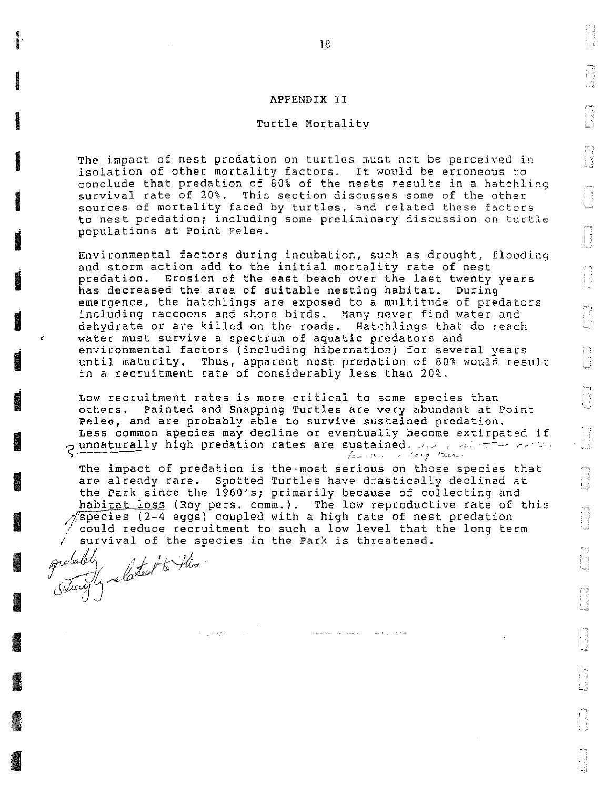#### APPENDIX II

#### Turtle Mortality

The impact of nest predation on turtles must not be perceived in isolation of other mortalitv factors. It would be erroneous to conclude that predation of BO% of the nests results in a hatchling survival rate of 20%. This section discusses some of the other sources of mortality faced by turtles, and related these factors to nest predation; including some preliminary discussion on turtle populations at Point Pelee.

Environmental factors during incubation, such as drought, flooding and storm action add to the initial mortality rate of nest predation. Erosion of the east beach over the last twenty years has decreased the area of suitable nesting habitat. During emergence, the hatchlings are exposed to a multitude of predators including raccoons and shore birds. Many never find water and dehydrate or are killed on the roads. Hatchlings that do reach water must survive a spectrum of aquatic predators and environmental factors (including hibernation) for several years until maturity. Thus, apparent nest predation of 80% would result in a recruitment rate of considerably less than 20%.

Low recruitment rates is more critical to some species than others. Painted and Snapping Turtles are very abundant at Point Pelee, and are probably able to survive sustained predation. Less common species may decline or eventually become extirpated if  $\sigma$  unnaturally high predation rates are sustained. and positive reference  $/$ au  $x$ .  $/$   $/$   $\epsilon$   $+$   $/$   $\epsilon$   $+$   $\epsilon$ 

The impact of predation is the·most serious on those species that are already rare. Spotted Turtles have drastically declined at the Park since the 1960's; primarily because of collecting and habitat loss (Roy pers. comm.). The low reproductive rate of this  $\sqrt{s}$  pecies (2-4 eggs) coupled with a high rate of nest predation could reduce recruitment to such a low level that the long term survival of the species in the Park is threatened.

probably for the flis.  $j$  there  $4$ 

in Lings

**Inchester**<br>Internet

**Installer** 

**In the case of the case of the case of the case of the case of the case of the case of the case of the case o**<br>In the case of the case of the case of the case of the case of the case of the case of the case of the case of

**In the case of the case of the case of the case of the case of the case of the case of the case of the case o**<br>In the case of the case of the case of the case of the case of the case of the case of the case of the case of

**III**<br>III

**International** 

**I** 

•

I

I

I

I

I

I

I

I

I

I

(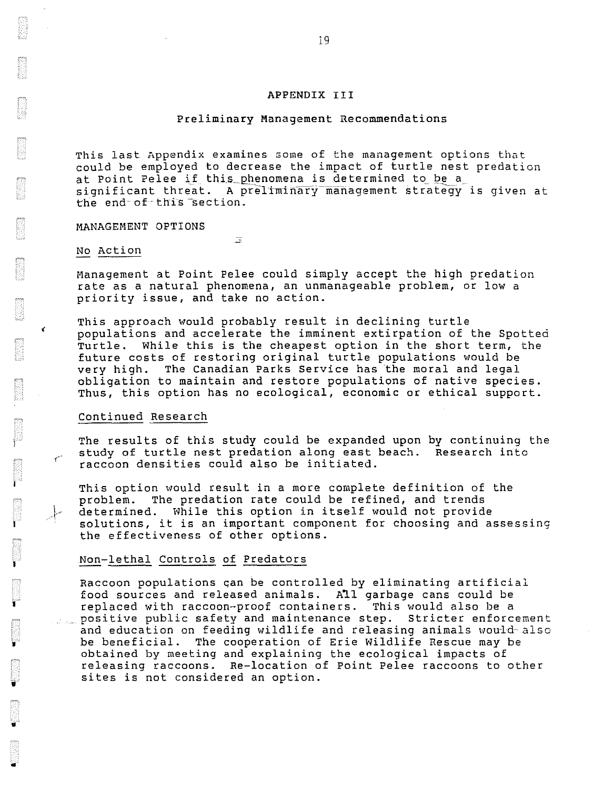#### APPENDIX III

#### Preliminary Management Recommendations

This last Appendix examines some of the management options that could be employed to decrease the impact of turtle nest predation at Point Pelee if this phenomena is determined to be a significant threat. A preliminary management strategy is given at the end of this section.

MANAGEMENT OPTIONS

#### No Action

Management at Point Pelee could simply accept the high predation rate as a natural phenomena, an unmanageable problem, or low a priority issue, and take no action.

Ξ

This approach would probably result in declining turtle populations and accelerate the imminent extirpation of the Spotted Turtle. While this is the cheapest option in the short term, the future costs of restoring original turtle populations would be very high. The Canadian Parks Service has the moral and legal The Canadian Parks Service has the moral and legal obligation to maintain and restore populations of native species. Thus, this option has no ecological, economic or ethical support.

#### Continued Research

l

l

I

•

•

..

The results of this study could be expanded upon by continuing the study of turtle nest predation along east beach. Research into raccoon densities could also be initiated.

This option would result in a more complete definition of the problem. The predation rate could be refined, and trends determined. While this option in itself would not provide solutions, it is an important component for choosing and assessing the effectiveness of other options.

#### Non-lethal Controls of Predators

Raccoon populations can be controlled by eliminating artificial food sources and released animals. All garbage cans could be replaced with raccoon-proof containers. This would also be a positive public safety and maintenance step. Stricter enforcement and education on feeding wildlife and releasing animals would also be beneficial. The cooperation of Erie Wildlife Rescue may be obtained by meeting and explaining the ecological impacts of releasing raccoons. Re-location of Point Pelee raccoons to other sites is not considered an option.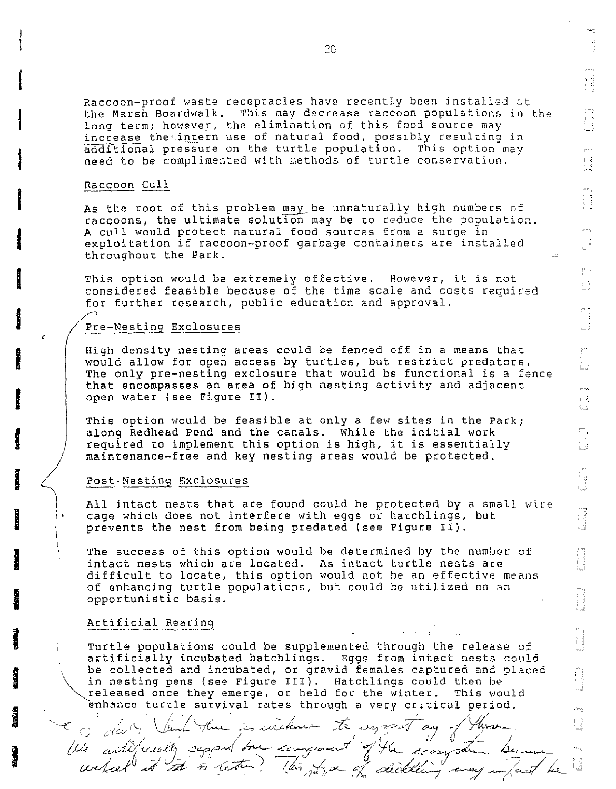Raccoon-proof waste receptacles have recently been installed at the Marsh Boardwalk. This may decrease raccoon populations in the long term; however, the elimination of this food source may increase the• intern use of natural food, possibly resulting in additional pressure on the turtle population. This option may need to be complimented with methods of turtle conservation.

#### Raccoon Cull

I

**I** 

i<br>Indonesia<br>Indonesia<br>Indonesia

dentale and the contract of the contract of the contract of the contract of the contract of the contract of the contract of the contract of the contract of the contract of the contract of the contract of the contract of th

**I**<br>I

I

I

**I** 

I

**I**<br>I

**III**<br>III<br>III

ing and the contract of the contract of the contract of the contract of the contract of the contract of the contract of the contract of the contract of the contract of the contract of the contract of the contract of the co

**In the case of the case of the case of the case of the case of the case of the case of the case of the case o** 

**Inchester** 

**INCORPORATION** 

**Installation** 

**In the case of the case of the case of the case of the case of the case of the case of the case of the case of** 

I

As the root of this problem may be unnaturally high numbers of  $r$ accoons, the ultimate solution may be to reduce the population. A cull would protect natural food sources from a surge in exploitation if raccoon-proof garbage containers are installed throughout the Park.

This option would be extremely effective. However, it is not considered feasible because of the time scale and costs required for further research, public education and approval.

#### Pre-Nesting Exclosures

High density nesting areas could be fenced off in a means that would allow for open access by turtles, but restrict predators. The only pre-nesting exclosure that would be functional is a fence that encompasses an area of high nesting activity and adjacent open water (see Figure II).

This option would be feasible at only a few sites in the Park; along Redhead Pond and the canals. While the initial work required to implement this option is high, it is essentially maintenance-free and key nesting areas would be protected.

#### Post-Nesting Exclosures

All intact nests that are found could be protected by a small wire cage which does not interfere with eggs or hatchlings, but prevents the nest from being predated (see Figure II).

The success of this option would be determined by the number of intact nests which are located. As intact turtle nests are difficult to locate, this option would not be an effective means of enhancing turtle populations, but could be utilized on an opportunistic basis.

#### Artificial Rearing

Turtle populations could be supplemented through the release of artificially incubated hatchlings. Eggs from intact nests could be collected and incubated, or gravid females captured and placed in nesting pens (see Figure III). Hatchlings could then be released once they emerge, or held for the winter. This would hance turtle survival rates through a very critical period.

Une activiscally suggest the compount of the component became

\* I fait that the is wither to expose any of those.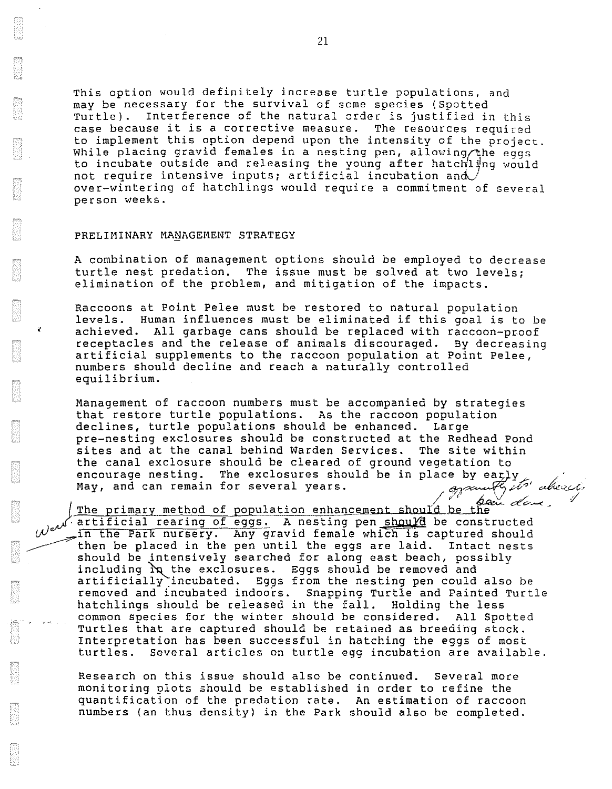This option would definitely increase turtle populations, and may be necessary for the survival of some species (Spotted Turtle). Interference of the natural order is justified in this case because it is a corrective measure. The resources required to implement this option depend upon the intensity of the project. While placing gravid females in a nesting pen, allowing the eggs to incubate outside and releasing the young after hatchling would not require intensive inputs; artificial incubation and  $\sqrt{ }$ over-wintering of hatchlings would require a commitment of several person weeks.

#### PRELIMINARY MANAGEMENT STRATEGY

A combination of management options should be employed to decrease turtle nest predation. The issue must be solved at two levels; elimination of the problem, and mitigation of the impacts.

Raccoons at Point Pelee must be restored to natural population levels. Human influences must be eliminated if this goal is to be achieved. All garbage cans should be replaced with raccoon-proof receptacles and the release of animals discouraged. By decreasing artificial supplements to the raccoon population at Point Pelee, numbers should decline and reach a naturally controlled equilibrium.

Management of raccoon numbers must be accompanied by strategies that restore turtle populations. As the raccoon population<br>declines, turtle populations should be enhanced. Larqe declines, turtle populations should be enhanced. pre-nesting exclosures should be constructed at the Redhead Pond sites and at the canal behind Warden Services. The site within the canal exclosure should be cleared of ground vegetation to the canal exclosure should be cleared or ground vegetation to<br>encourage nesting. The exclosures should be in place by early<br>May, and can remain for several years. A promate the congysenutty its' ab

artificial rearing of eggs. A nesting pen should be constructed The primary method of population enhancement should be the we in the Park nursery. Any gravid female which is captured should in the Park nursery. Any gravid female which is captured should then be placed in the pen until the eggs are laid. Intact nests should be intensively searched for along east beach, possibly including  $\alpha$  the exclosures. Eggs should be removed and artificially incubated. Eggs from the nesting pen could also be removed and incubated indoors. Snapping Turtle and Painted Turtle hatchlings should be released in the fall. Holding the less common species for the winter should be considered. All Spotted Turtles that are captured should be retained as breeding stock. Interpretation has been successful in hatching the eggs of most<br>turtles. Several articles on turtle egg incubation are availab Several articles on turtle egg incubation are available.

Research on this issue should also be continued. Several more monitoring plots should be established in order to refine the quantification of the predation rate. An estimation of raccoon numbers (an thus density) in the Park should also be completed.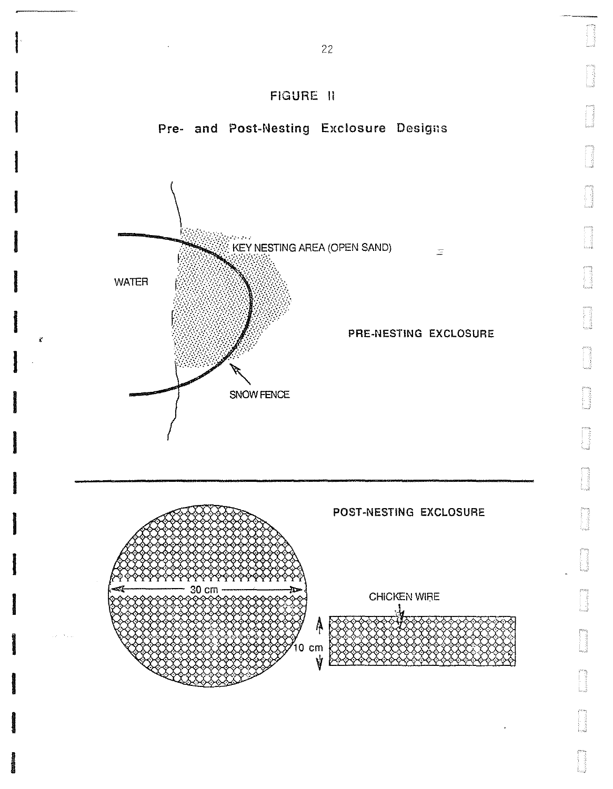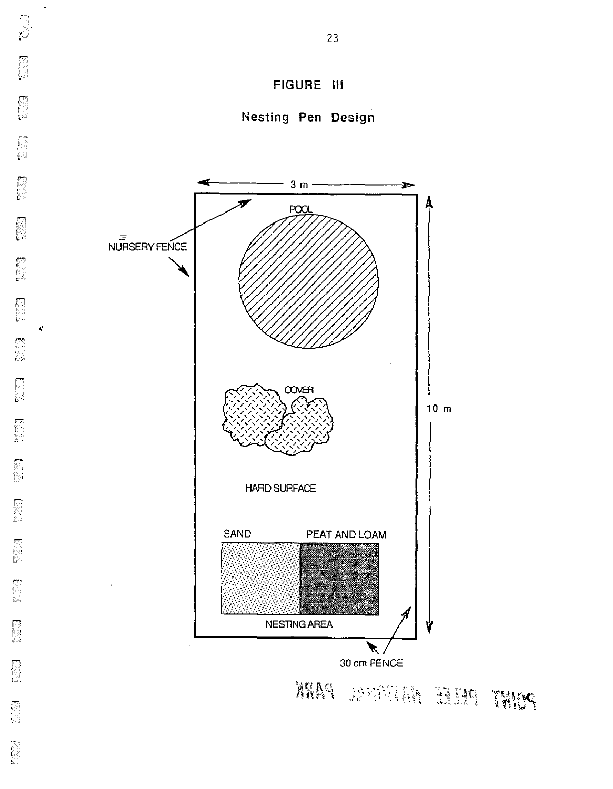

 $\begin{bmatrix} 1 & 1 \\ 1 & 1 \end{bmatrix}$ 

B

k.